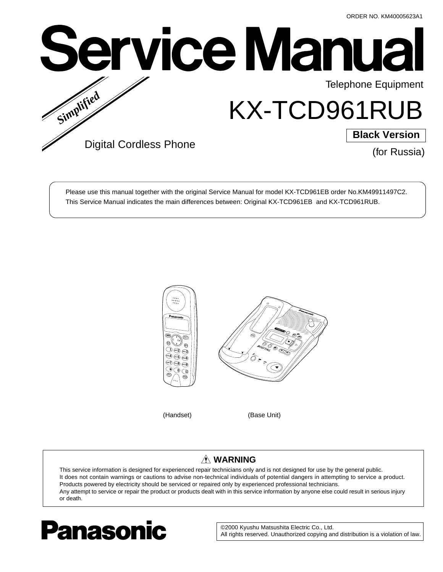

Please use this manual together with the original Service Manual for model KX-TCD961EB order No.KM49911497C2. This Service Manual indicates the main differences between: Original KX-TCD961EB and KX-TCD961RUB.



# **WARNING**

This service information is designed for experienced repair technicians only and is not designed for use by the general public. It does not contain warnings or cautions to advise non-technical individuals of potential dangers in attempting to service a product. Products powered by electricity should be serviced or repaired only by experienced professional technicians. Any attempt to service or repair the product or products dealt with in this service information by anyone else could result in serious injury or death.



©2000 Kyushu Matsushita Electric Co., Ltd. All rights reserved. Unauthorized copying and distribution is a violation of law.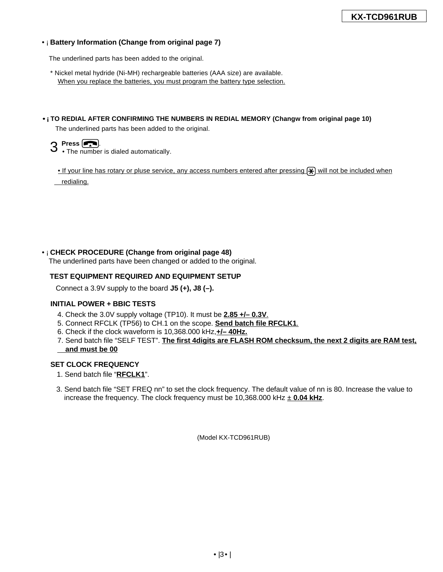### •¡ **Battery Information (Change from original page 7)**

The underlined parts has been added to the original.

- \* Nickel metal hydride (Ni-MH) rechargeable batteries (AAA size) are available. When you replace the batteries, you must program the battery type selection.
- •¡**TO REDIAL AFTER CONFIRMING THE NUMBERS IN REDIAL MEMORY (Changw from original page 10)**

The underlined parts has been added to the original.

**3** Press  $\boxed{)}$ .<br>3 • The number is dialed automatically.

• If your line has rotary or pluse service, any access numbers entered after pressing  $\mathcal{F}$  will not be included when \_redialing.

# •¡ **CHECK PROCEDURE (Change from original page 48)**

The underlined parts have been changed or added to the original.

# **TEST EQUIPMENT REQUIRED AND EQUIPMENT SETUP**

Connect a 3.9V supply to the board **J5 (+), J8 (–).**

#### **INITIAL POWER + BBIC TESTS**

- 4. Check the 3.0V supply voltage (TP10). It must be **2.85 +/– 0.3V**.
- 5. Connect RFCLK (TP56) to CH.1 on the scope. **Send batch file RFCLK1**.
- 6. Check if the clock waveform is 10,368.000 kHz,**+/– 40Hz.**
- 7. Send batch file "SELF TEST". **The first 4digits are FLASH ROM checksum, the next 2 digits are RAM test, and must be 00**

#### **SET CLOCK FREQUENCY**

- 1. Send batch file "**RFCLK1**".
- 3. Send batch file "SET FREQ nn" to set the clock frequency. The default value of nn is 80. Increase the value to increase the frequency. The clock frequency must be  $10,368.000$  kHz  $\pm$  0.04 kHz.

(Model KX-TCD961RUB)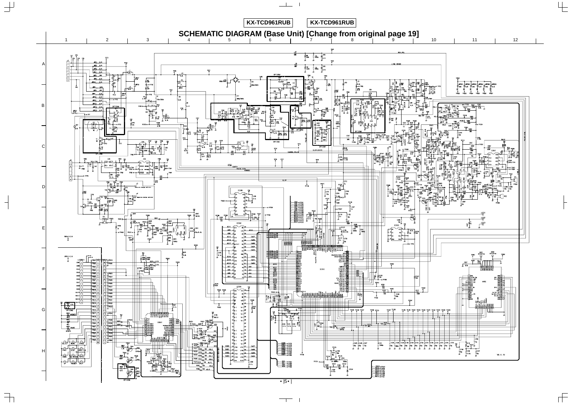

 $\frac{1}{\sqrt{2}}$ 

 $\begin{array}{c} \uparrow \\ \uparrow \end{array}$ 

 $\overline{\phantom{a}}$ 

 $\exists$ 

 $\overline{\phantom{0}}$